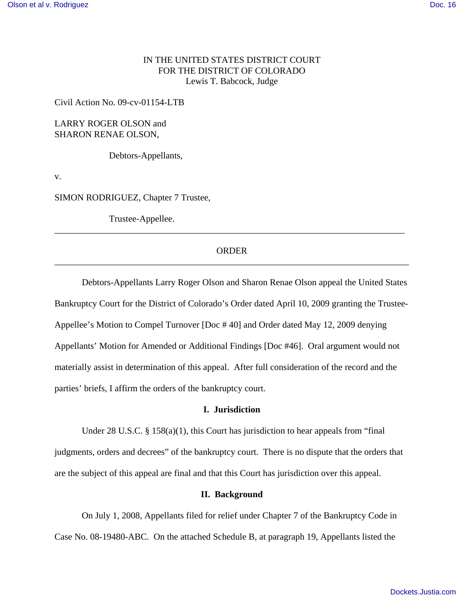# IN THE UNITED STATES DISTRICT COURT FOR THE DISTRICT OF COLORADO Lewis T. Babcock, Judge

Civil Action No. 09-cv-01154-LTB

LARRY ROGER OLSON and SHARON RENAE OLSON,

Debtors-Appellants,

v.

SIMON RODRIGUEZ, Chapter 7 Trustee,

Trustee-Appellee.

## ORDER \_\_\_\_\_\_\_\_\_\_\_\_\_\_\_\_\_\_\_\_\_\_\_\_\_\_\_\_\_\_\_\_\_\_\_\_\_\_\_\_\_\_\_\_\_\_\_\_\_\_\_\_\_\_\_\_\_\_\_\_\_\_\_\_\_\_\_\_\_\_\_\_\_\_\_\_\_\_

\_\_\_\_\_\_\_\_\_\_\_\_\_\_\_\_\_\_\_\_\_\_\_\_\_\_\_\_\_\_\_\_\_\_\_\_\_\_\_\_\_\_\_\_\_\_\_\_\_\_\_\_\_\_\_\_\_\_\_\_\_\_\_\_\_\_\_\_\_\_\_\_\_\_\_\_\_

Debtors-Appellants Larry Roger Olson and Sharon Renae Olson appeal the United States Bankruptcy Court for the District of Colorado's Order dated April 10, 2009 granting the Trustee-Appellee's Motion to Compel Turnover [Doc # 40] and Order dated May 12, 2009 denying Appellants' Motion for Amended or Additional Findings [Doc #46]. Oral argument would not materially assist in determination of this appeal. After full consideration of the record and the parties' briefs, I affirm the orders of the bankruptcy court.

## **I. Jurisdiction**

Under 28 U.S.C. § 158(a)(1), this Court has jurisdiction to hear appeals from "final judgments, orders and decrees" of the bankruptcy court. There is no dispute that the orders that are the subject of this appeal are final and that this Court has jurisdiction over this appeal.

#### **II. Background**

On July 1, 2008, Appellants filed for relief under Chapter 7 of the Bankruptcy Code in Case No. 08-19480-ABC. On the attached Schedule B, at paragraph 19, Appellants listed the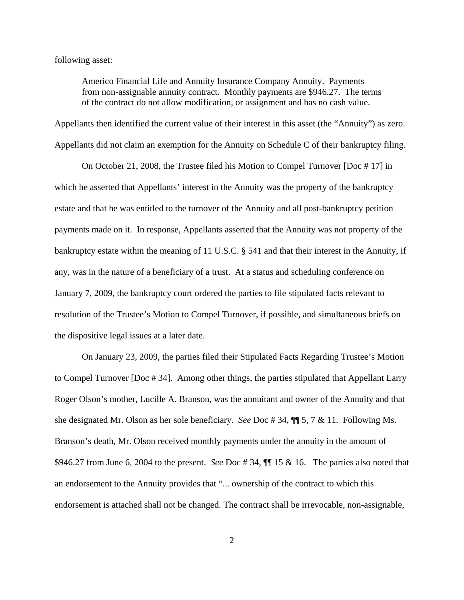following asset:

Americo Financial Life and Annuity Insurance Company Annuity. Payments from non-assignable annuity contract. Monthly payments are \$946.27. The terms of the contract do not allow modification, or assignment and has no cash value.

Appellants then identified the current value of their interest in this asset (the "Annuity") as zero. Appellants did not claim an exemption for the Annuity on Schedule C of their bankruptcy filing.

On October 21, 2008, the Trustee filed his Motion to Compel Turnover [Doc # 17] in which he asserted that Appellants' interest in the Annuity was the property of the bankruptcy estate and that he was entitled to the turnover of the Annuity and all post-bankruptcy petition payments made on it. In response, Appellants asserted that the Annuity was not property of the bankruptcy estate within the meaning of 11 U.S.C. § 541 and that their interest in the Annuity, if any, was in the nature of a beneficiary of a trust. At a status and scheduling conference on January 7, 2009, the bankruptcy court ordered the parties to file stipulated facts relevant to resolution of the Trustee's Motion to Compel Turnover, if possible, and simultaneous briefs on the dispositive legal issues at a later date.

On January 23, 2009, the parties filed their Stipulated Facts Regarding Trustee's Motion to Compel Turnover [Doc # 34]. Among other things, the parties stipulated that Appellant Larry Roger Olson's mother, Lucille A. Branson, was the annuitant and owner of the Annuity and that she designated Mr. Olson as her sole beneficiary. *See* Doc # 34, ¶¶ 5, 7 & 11. Following Ms. Branson's death, Mr. Olson received monthly payments under the annuity in the amount of \$946.27 from June 6, 2004 to the present. *See* Doc # 34, ¶¶ 15 & 16. The parties also noted that an endorsement to the Annuity provides that "... ownership of the contract to which this endorsement is attached shall not be changed. The contract shall be irrevocable, non-assignable,

2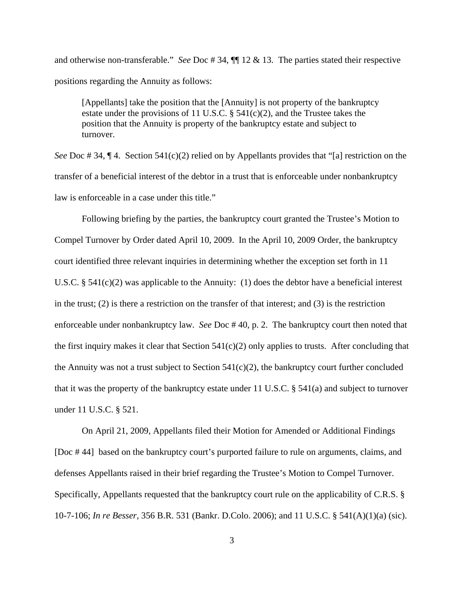and otherwise non-transferable." *See* Doc # 34, ¶¶ 12 & 13. The parties stated their respective positions regarding the Annuity as follows:

[Appellants] take the position that the [Annuity] is not property of the bankruptcy estate under the provisions of 11 U.S.C.  $\S$  541(c)(2), and the Trustee takes the position that the Annuity is property of the bankruptcy estate and subject to turnover.

*See* Doc # 34,  $\P$  4. Section 541(c)(2) relied on by Appellants provides that "[a] restriction on the transfer of a beneficial interest of the debtor in a trust that is enforceable under nonbankruptcy law is enforceable in a case under this title."

Following briefing by the parties, the bankruptcy court granted the Trustee's Motion to Compel Turnover by Order dated April 10, 2009. In the April 10, 2009 Order, the bankruptcy court identified three relevant inquiries in determining whether the exception set forth in 11 U.S.C.  $\S$  541(c)(2) was applicable to the Annuity: (1) does the debtor have a beneficial interest in the trust; (2) is there a restriction on the transfer of that interest; and (3) is the restriction enforceable under nonbankruptcy law. *See* Doc # 40, p. 2. The bankruptcy court then noted that the first inquiry makes it clear that Section  $541(c)(2)$  only applies to trusts. After concluding that the Annuity was not a trust subject to Section  $541(c)(2)$ , the bankruptcy court further concluded that it was the property of the bankruptcy estate under 11 U.S.C. § 541(a) and subject to turnover under 11 U.S.C. § 521.

On April 21, 2009, Appellants filed their Motion for Amended or Additional Findings [Doc # 44] based on the bankruptcy court's purported failure to rule on arguments, claims, and defenses Appellants raised in their brief regarding the Trustee's Motion to Compel Turnover. Specifically, Appellants requested that the bankruptcy court rule on the applicability of C.R.S. § 10-7-106; *In re Besser,* 356 B.R. 531 (Bankr. D.Colo. 2006); and 11 U.S.C. § 541(A)(1)(a) (sic).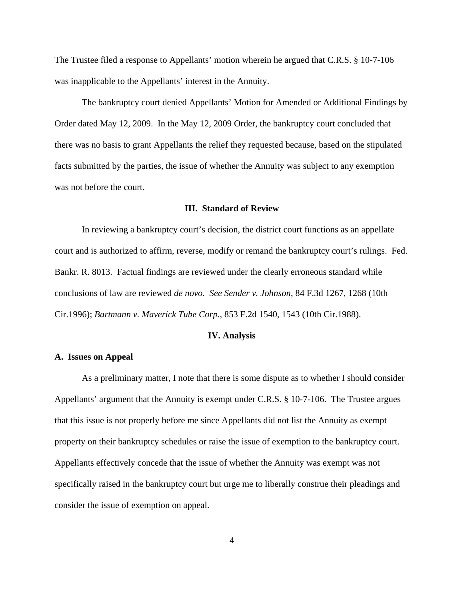The Trustee filed a response to Appellants' motion wherein he argued that C.R.S. § 10-7-106 was inapplicable to the Appellants' interest in the Annuity.

The bankruptcy court denied Appellants' Motion for Amended or Additional Findings by Order dated May 12, 2009. In the May 12, 2009 Order, the bankruptcy court concluded that there was no basis to grant Appellants the relief they requested because, based on the stipulated facts submitted by the parties, the issue of whether the Annuity was subject to any exemption was not before the court.

#### **III. Standard of Review**

In reviewing a bankruptcy court's decision, the district court functions as an appellate court and is authorized to affirm, reverse, modify or remand the bankruptcy court's rulings. Fed. Bankr. R. 8013. Factual findings are reviewed under the clearly erroneous standard while conclusions of law are reviewed *de novo. See Sender v. Johnson*, 84 F.3d 1267, 1268 (10th Cir.1996); *Bartmann v. Maverick Tube Corp.*, 853 F.2d 1540, 1543 (10th Cir.1988).

## **IV. Analysis**

## **A. Issues on Appeal**

As a preliminary matter, I note that there is some dispute as to whether I should consider Appellants' argument that the Annuity is exempt under C.R.S. § 10-7-106. The Trustee argues that this issue is not properly before me since Appellants did not list the Annuity as exempt property on their bankruptcy schedules or raise the issue of exemption to the bankruptcy court. Appellants effectively concede that the issue of whether the Annuity was exempt was not specifically raised in the bankruptcy court but urge me to liberally construe their pleadings and consider the issue of exemption on appeal.

4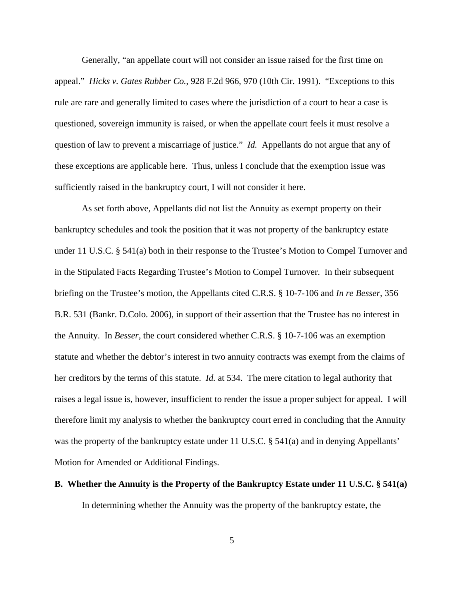Generally, "an appellate court will not consider an issue raised for the first time on appeal." *Hicks v. Gates Rubber Co.,* 928 F.2d 966, 970 (10th Cir. 1991). "Exceptions to this rule are rare and generally limited to cases where the jurisdiction of a court to hear a case is questioned, sovereign immunity is raised, or when the appellate court feels it must resolve a question of law to prevent a miscarriage of justice." *Id.* Appellants do not argue that any of these exceptions are applicable here. Thus, unless I conclude that the exemption issue was sufficiently raised in the bankruptcy court, I will not consider it here.

As set forth above, Appellants did not list the Annuity as exempt property on their bankruptcy schedules and took the position that it was not property of the bankruptcy estate under 11 U.S.C. § 541(a) both in their response to the Trustee's Motion to Compel Turnover and in the Stipulated Facts Regarding Trustee's Motion to Compel Turnover. In their subsequent briefing on the Trustee's motion, the Appellants cited C.R.S. § 10-7-106 and *In re Besser,* 356 B.R. 531 (Bankr. D.Colo. 2006), in support of their assertion that the Trustee has no interest in the Annuity. In *Besser*, the court considered whether C.R.S. § 10-7-106 was an exemption statute and whether the debtor's interest in two annuity contracts was exempt from the claims of her creditors by the terms of this statute. *Id.* at 534. The mere citation to legal authority that raises a legal issue is, however, insufficient to render the issue a proper subject for appeal. I will therefore limit my analysis to whether the bankruptcy court erred in concluding that the Annuity was the property of the bankruptcy estate under 11 U.S.C. § 541(a) and in denying Appellants' Motion for Amended or Additional Findings.

# **B. Whether the Annuity is the Property of the Bankruptcy Estate under 11 U.S.C. § 541(a)**

In determining whether the Annuity was the property of the bankruptcy estate, the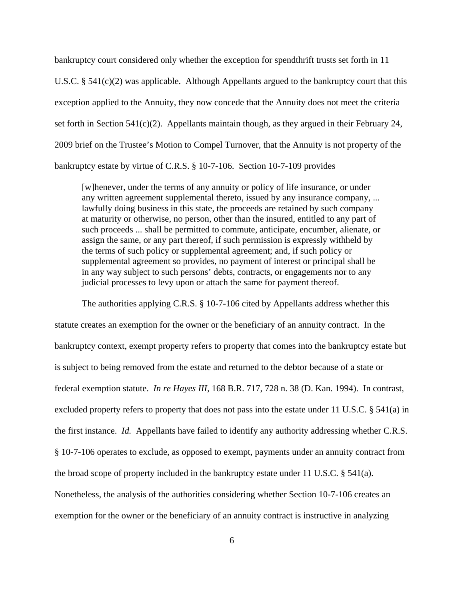bankruptcy court considered only whether the exception for spendthrift trusts set forth in 11 U.S.C. § 541(c)(2) was applicable. Although Appellants argued to the bankruptcy court that this exception applied to the Annuity, they now concede that the Annuity does not meet the criteria set forth in Section 541(c)(2). Appellants maintain though, as they argued in their February 24, 2009 brief on the Trustee's Motion to Compel Turnover, that the Annuity is not property of the bankruptcy estate by virtue of C.R.S. § 10-7-106. Section 10-7-109 provides

[w]henever, under the terms of any annuity or policy of life insurance, or under any written agreement supplemental thereto, issued by any insurance company, ... lawfully doing business in this state, the proceeds are retained by such company at maturity or otherwise, no person, other than the insured, entitled to any part of such proceeds ... shall be permitted to commute, anticipate, encumber, alienate, or assign the same, or any part thereof, if such permission is expressly withheld by the terms of such policy or supplemental agreement; and, if such policy or supplemental agreement so provides, no payment of interest or principal shall be in any way subject to such persons' debts, contracts, or engagements nor to any judicial processes to levy upon or attach the same for payment thereof.

The authorities applying C.R.S. § 10-7-106 cited by Appellants address whether this statute creates an exemption for the owner or the beneficiary of an annuity contract. In the bankruptcy context, exempt property refers to property that comes into the bankruptcy estate but is subject to being removed from the estate and returned to the debtor because of a state or federal exemption statute. *In re Hayes III,* 168 B.R. 717, 728 n. 38 (D. Kan. 1994). In contrast, excluded property refers to property that does not pass into the estate under 11 U.S.C. § 541(a) in the first instance. *Id.* Appellants have failed to identify any authority addressing whether C.R.S. § 10-7-106 operates to exclude, as opposed to exempt, payments under an annuity contract from the broad scope of property included in the bankruptcy estate under 11 U.S.C.  $\S$  541(a). Nonetheless, the analysis of the authorities considering whether Section 10-7-106 creates an exemption for the owner or the beneficiary of an annuity contract is instructive in analyzing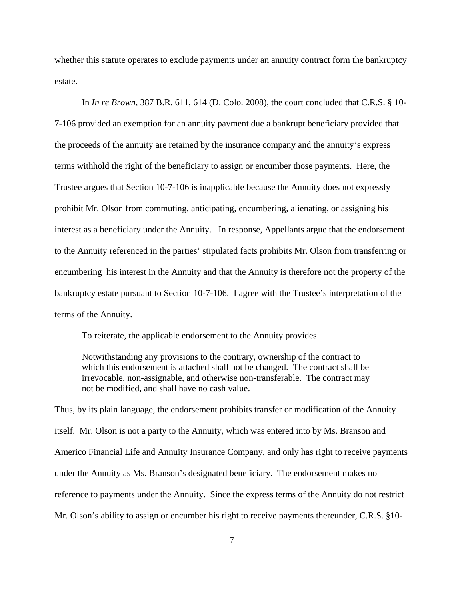whether this statute operates to exclude payments under an annuity contract form the bankruptcy estate.

In *In re Brown,* 387 B.R. 611, 614 (D. Colo. 2008), the court concluded that C.R.S. § 10- 7-106 provided an exemption for an annuity payment due a bankrupt beneficiary provided that the proceeds of the annuity are retained by the insurance company and the annuity's express terms withhold the right of the beneficiary to assign or encumber those payments. Here, the Trustee argues that Section 10-7-106 is inapplicable because the Annuity does not expressly prohibit Mr. Olson from commuting, anticipating, encumbering, alienating, or assigning his interest as a beneficiary under the Annuity. In response, Appellants argue that the endorsement to the Annuity referenced in the parties' stipulated facts prohibits Mr. Olson from transferring or encumbering his interest in the Annuity and that the Annuity is therefore not the property of the bankruptcy estate pursuant to Section 10-7-106. I agree with the Trustee's interpretation of the terms of the Annuity.

To reiterate, the applicable endorsement to the Annuity provides

Notwithstanding any provisions to the contrary, ownership of the contract to which this endorsement is attached shall not be changed. The contract shall be irrevocable, non-assignable, and otherwise non-transferable. The contract may not be modified, and shall have no cash value.

Thus, by its plain language, the endorsement prohibits transfer or modification of the Annuity itself. Mr. Olson is not a party to the Annuity, which was entered into by Ms. Branson and Americo Financial Life and Annuity Insurance Company, and only has right to receive payments under the Annuity as Ms. Branson's designated beneficiary. The endorsement makes no reference to payments under the Annuity. Since the express terms of the Annuity do not restrict Mr. Olson's ability to assign or encumber his right to receive payments thereunder, C.R.S. §10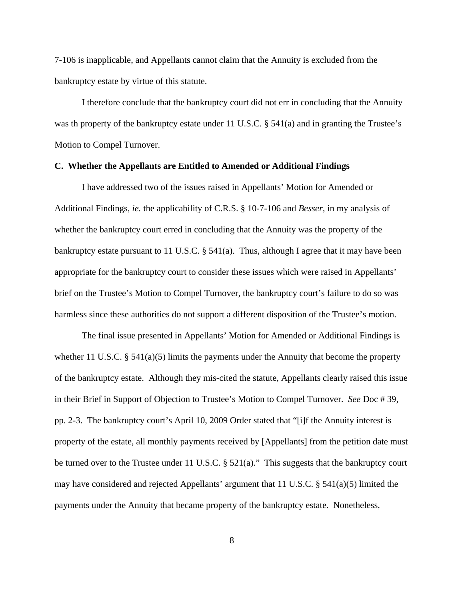7-106 is inapplicable, and Appellants cannot claim that the Annuity is excluded from the bankruptcy estate by virtue of this statute.

I therefore conclude that the bankruptcy court did not err in concluding that the Annuity was th property of the bankruptcy estate under 11 U.S.C.  $\S$  541(a) and in granting the Trustee's Motion to Compel Turnover.

## **C. Whether the Appellants are Entitled to Amended or Additional Findings**

I have addressed two of the issues raised in Appellants' Motion for Amended or Additional Findings, *ie.* the applicability of C.R.S. § 10-7-106 and *Besser,* in my analysis of whether the bankruptcy court erred in concluding that the Annuity was the property of the bankruptcy estate pursuant to 11 U.S.C.  $\S$  541(a). Thus, although I agree that it may have been appropriate for the bankruptcy court to consider these issues which were raised in Appellants' brief on the Trustee's Motion to Compel Turnover, the bankruptcy court's failure to do so was harmless since these authorities do not support a different disposition of the Trustee's motion.

The final issue presented in Appellants' Motion for Amended or Additional Findings is whether 11 U.S.C. § 541(a)(5) limits the payments under the Annuity that become the property of the bankruptcy estate. Although they mis-cited the statute, Appellants clearly raised this issue in their Brief in Support of Objection to Trustee's Motion to Compel Turnover. *See* Doc # 39, pp. 2-3. The bankruptcy court's April 10, 2009 Order stated that "[i]f the Annuity interest is property of the estate, all monthly payments received by [Appellants] from the petition date must be turned over to the Trustee under 11 U.S.C. § 521(a)." This suggests that the bankruptcy court may have considered and rejected Appellants' argument that 11 U.S.C. § 541(a)(5) limited the payments under the Annuity that became property of the bankruptcy estate. Nonetheless,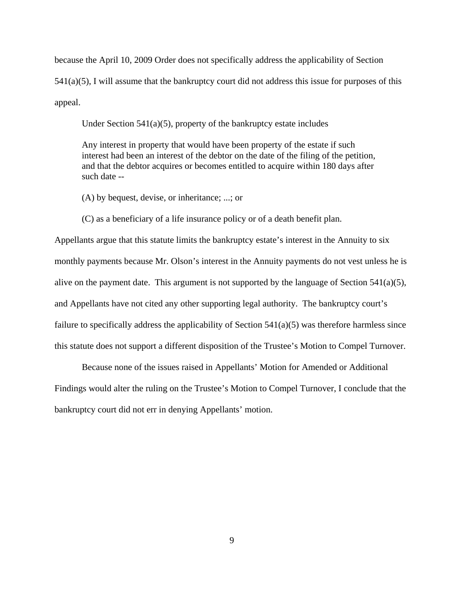because the April 10, 2009 Order does not specifically address the applicability of Section  $541(a)(5)$ , I will assume that the bankruptcy court did not address this issue for purposes of this appeal.

Under Section 541(a)(5), property of the bankruptcy estate includes

Any interest in property that would have been property of the estate if such interest had been an interest of the debtor on the date of the filing of the petition, and that the debtor acquires or becomes entitled to acquire within 180 days after such date --

(A) by bequest, devise, or inheritance; ...; or

(C) as a beneficiary of a life insurance policy or of a death benefit plan.

Appellants argue that this statute limits the bankruptcy estate's interest in the Annuity to six monthly payments because Mr. Olson's interest in the Annuity payments do not vest unless he is alive on the payment date. This argument is not supported by the language of Section  $541(a)(5)$ , and Appellants have not cited any other supporting legal authority. The bankruptcy court's failure to specifically address the applicability of Section 541(a)(5) was therefore harmless since this statute does not support a different disposition of the Trustee's Motion to Compel Turnover.

Because none of the issues raised in Appellants' Motion for Amended or Additional Findings would alter the ruling on the Trustee's Motion to Compel Turnover, I conclude that the bankruptcy court did not err in denying Appellants' motion.